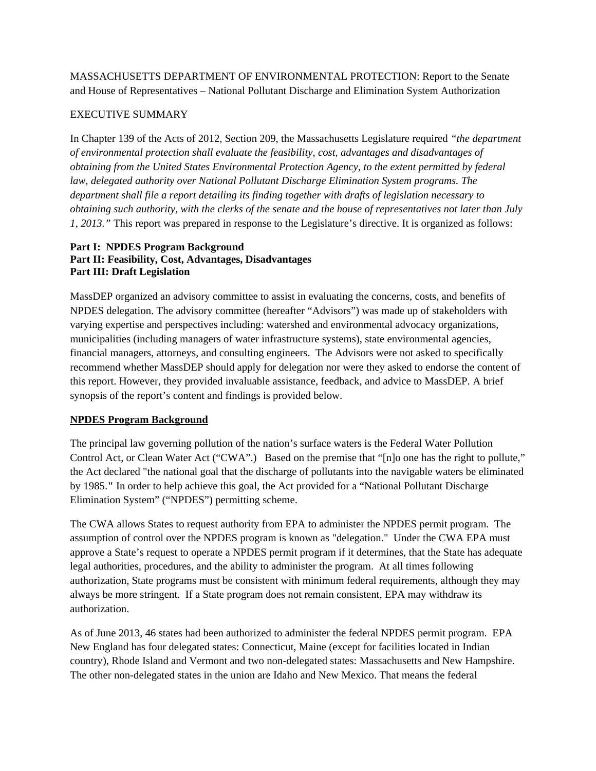MASSACHUSETTS DEPARTMENT OF ENVIRONMENTAL PROTECTION: Report to the Senate and House of Representatives – National Pollutant Discharge and Elimination System Authorization

# EXECUTIVE SUMMARY

In Chapter 139 of the Acts of 2012, Section 209, the Massachusetts Legislature required *"the department of environmental protection shall evaluate the feasibility, cost, advantages and disadvantages of obtaining from the United States Environmental Protection Agency, to the extent permitted by federal law, delegated authority over National Pollutant Discharge Elimination System programs. The department shall file a report detailing its finding together with drafts of legislation necessary to obtaining such authority, with the clerks of the senate and the house of representatives not later than July 1, 2013."* This report was prepared in response to the Legislature's directive. It is organized as follows:

# **Part I: NPDES Program Background Part II: Feasibility, Cost, Advantages, Disadvantages Part III: Draft Legislation**

MassDEP organized an advisory committee to assist in evaluating the concerns, costs, and benefits of NPDES delegation. The advisory committee (hereafter "Advisors") was made up of stakeholders with varying expertise and perspectives including: watershed and environmental advocacy organizations, municipalities (including managers of water infrastructure systems), state environmental agencies, financial managers, attorneys, and consulting engineers. The Advisors were not asked to specifically recommend whether MassDEP should apply for delegation nor were they asked to endorse the content of this report. However, they provided invaluable assistance, feedback, and advice to MassDEP. A brief synopsis of the report's content and findings is provided below.

# **NPDES Program Background**

The principal law governing pollution of the nation's surface waters is the Federal Water Pollution Control Act, or Clean Water Act ("CWA".) Based on the premise that "[n]o one has the right to pollute," the Act declared "the national goal that the discharge of pollutants into the navigable waters be eliminated by 1985.**"** In order to help achieve this goal, the Act provided for a "National Pollutant Discharge Elimination System" ("NPDES") permitting scheme.

The CWA allows States to request authority from EPA to administer the NPDES permit program. The assumption of control over the NPDES program is known as "delegation." Under the CWA EPA must approve a State's request to operate a NPDES permit program if it determines, that the State has adequate legal authorities, procedures, and the ability to administer the program. At all times following authorization, State programs must be consistent with minimum federal requirements, although they may always be more stringent. If a State program does not remain consistent, EPA may withdraw its authorization.

As of June 2013, 46 states had been authorized to administer the federal NPDES permit program. EPA New England has four delegated states: Connecticut, Maine (except for facilities located in Indian country), Rhode Island and Vermont and two non-delegated states: Massachusetts and New Hampshire. The other non-delegated states in the union are Idaho and New Mexico. That means the federal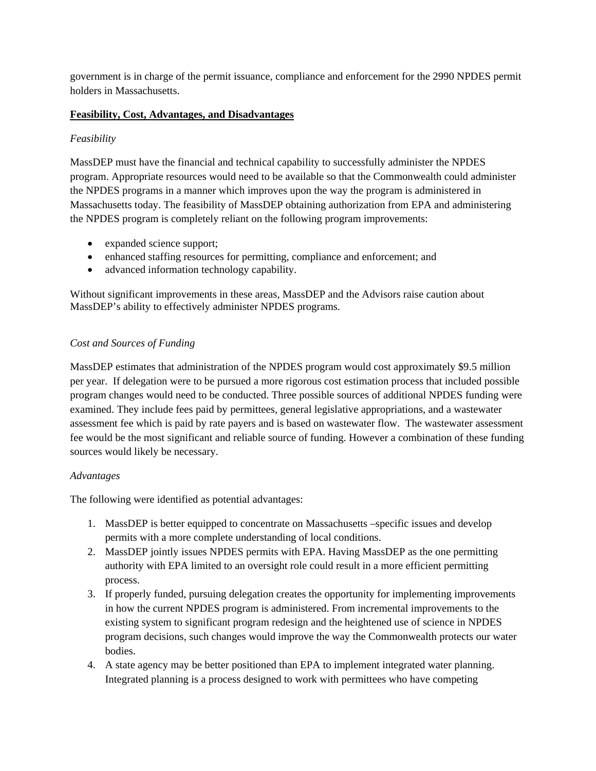government is in charge of the permit issuance, compliance and enforcement for the 2990 NPDES permit holders in Massachusetts.

# **Feasibility, Cost, Advantages, and Disadvantages**

#### *Feasibility*

MassDEP must have the financial and technical capability to successfully administer the NPDES program. Appropriate resources would need to be available so that the Commonwealth could administer the NPDES programs in a manner which improves upon the way the program is administered in Massachusetts today. The feasibility of MassDEP obtaining authorization from EPA and administering the NPDES program is completely reliant on the following program improvements:

- expanded science support;
- enhanced staffing resources for permitting, compliance and enforcement; and
- advanced information technology capability.

Without significant improvements in these areas, MassDEP and the Advisors raise caution about MassDEP's ability to effectively administer NPDES programs.

#### *Cost and Sources of Funding*

MassDEP estimates that administration of the NPDES program would cost approximately \$9.5 million per year. If delegation were to be pursued a more rigorous cost estimation process that included possible program changes would need to be conducted. Three possible sources of additional NPDES funding were examined. They include fees paid by permittees, general legislative appropriations, and a wastewater assessment fee which is paid by rate payers and is based on wastewater flow. The wastewater assessment fee would be the most significant and reliable source of funding. However a combination of these funding sources would likely be necessary.

#### *Advantages*

The following were identified as potential advantages:

- 1. MassDEP is better equipped to concentrate on Massachusetts –specific issues and develop permits with a more complete understanding of local conditions.
- 2. MassDEP jointly issues NPDES permits with EPA. Having MassDEP as the one permitting authority with EPA limited to an oversight role could result in a more efficient permitting process.
- 3. If properly funded, pursuing delegation creates the opportunity for implementing improvements in how the current NPDES program is administered. From incremental improvements to the existing system to significant program redesign and the heightened use of science in NPDES program decisions, such changes would improve the way the Commonwealth protects our water bodies.
- 4. A state agency may be better positioned than EPA to implement integrated water planning. Integrated planning is a process designed to work with permittees who have competing